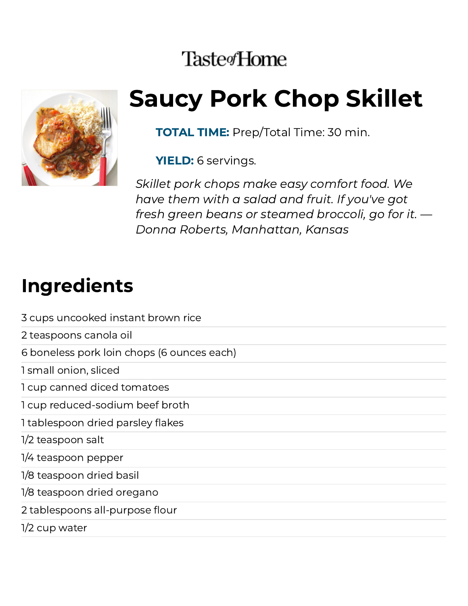### **Taste**<sup>Home</sup>



# Saucy Pork Chop Skillet

TOTAL TIME: Prep/Total Time: 30 min.

YIELD: 6 servings.

Skillet pork chops make easy comfort food. We have them with a salad and fruit. If you've got fresh green beans or steamed broccoli, go for it. — Donna Roberts, Manhattan, Kansas

#### Ingredients

| 3 cups uncooked instant brown rice         |
|--------------------------------------------|
| 2 teaspoons canola oil                     |
| 6 boneless pork loin chops (6 ounces each) |
| 1 small onion, sliced                      |
| 1 cup canned diced tomatoes                |
| 1 cup reduced-sodium beef broth            |
| 1 tablespoon dried parsley flakes          |
| 1/2 teaspoon salt                          |
| 1/4 teaspoon pepper                        |
| 1/8 teaspoon dried basil                   |
| 1/8 teaspoon dried oregano                 |
| 2 tablespoons all-purpose flour            |
| 1/2 cup water                              |